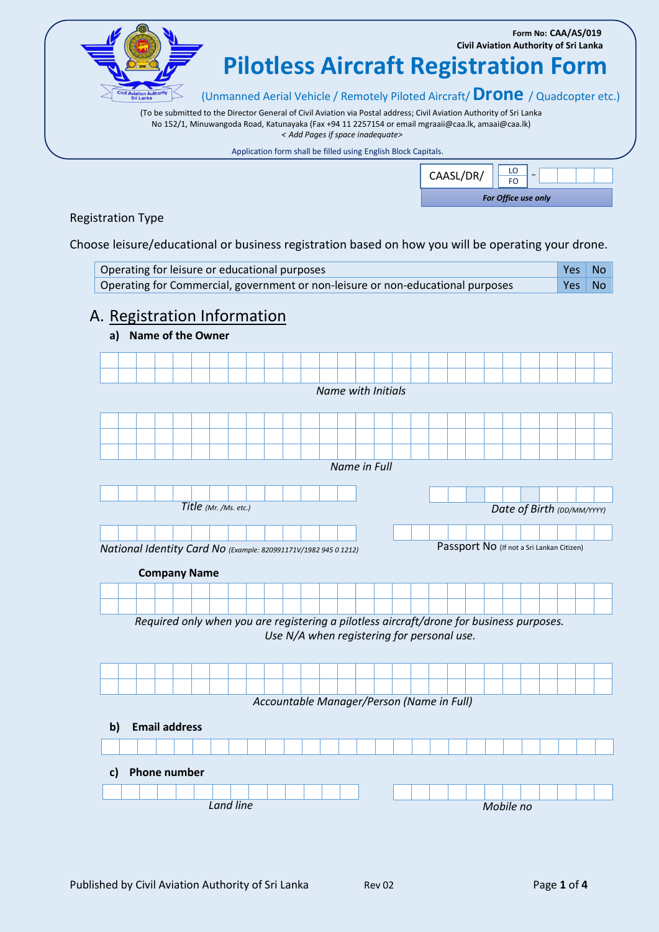**Form No: CAA/AS/019 Civil Aviation Authority of Sri Lanka**

**Pilotless Aircraft Registration Form**

(Unmanned Aerial Vehicle / Remotely Piloted Aircraft/ **Drone** / Quadcopter etc.)

(To be submitted to the Director General of Civil Aviation via Postal address; Civil Aviation Authority of Sri Lanka No 152/1, Minuwangoda Road, Katunayaka (Fax +94 11 2257154 or email mgraaii@caa.lk, amaai@caa.lk) *< Add Pages if space inadequate>*

Application form shall be filled using English Block Capitals.

| CAASL/DR/           |  |  |  |  |  |  |  |  |  |  |  |
|---------------------|--|--|--|--|--|--|--|--|--|--|--|
| For Office use only |  |  |  |  |  |  |  |  |  |  |  |

Registration Type

Choose leisure/educational or business registration based on how you will be operating your drone.

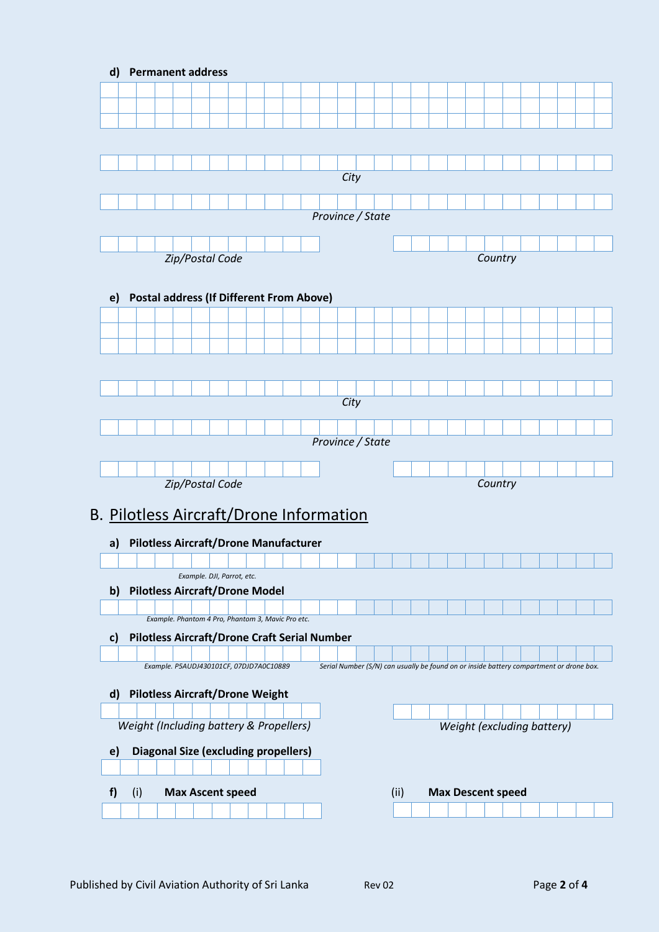| $\mathsf{d}$               |  |     |  | <b>Permanent address</b> |  |                            |  |  |                                                     |  |  |  |                  |  |      |                                                                                         |  |         |                            |  |  |  |
|----------------------------|--|-----|--|--------------------------|--|----------------------------|--|--|-----------------------------------------------------|--|--|--|------------------|--|------|-----------------------------------------------------------------------------------------|--|---------|----------------------------|--|--|--|
|                            |  |     |  |                          |  |                            |  |  |                                                     |  |  |  |                  |  |      |                                                                                         |  |         |                            |  |  |  |
|                            |  |     |  |                          |  |                            |  |  |                                                     |  |  |  |                  |  |      |                                                                                         |  |         |                            |  |  |  |
|                            |  |     |  |                          |  |                            |  |  |                                                     |  |  |  |                  |  |      |                                                                                         |  |         |                            |  |  |  |
|                            |  |     |  |                          |  |                            |  |  |                                                     |  |  |  |                  |  |      |                                                                                         |  |         |                            |  |  |  |
|                            |  |     |  |                          |  |                            |  |  |                                                     |  |  |  |                  |  |      |                                                                                         |  |         |                            |  |  |  |
|                            |  |     |  |                          |  |                            |  |  |                                                     |  |  |  | City             |  |      |                                                                                         |  |         |                            |  |  |  |
|                            |  |     |  |                          |  |                            |  |  |                                                     |  |  |  |                  |  |      |                                                                                         |  |         |                            |  |  |  |
|                            |  |     |  |                          |  |                            |  |  |                                                     |  |  |  | Province / State |  |      |                                                                                         |  |         |                            |  |  |  |
|                            |  |     |  |                          |  |                            |  |  |                                                     |  |  |  |                  |  |      |                                                                                         |  |         |                            |  |  |  |
|                            |  |     |  |                          |  |                            |  |  |                                                     |  |  |  |                  |  |      |                                                                                         |  |         |                            |  |  |  |
| Zip/Postal Code<br>Country |  |     |  |                          |  |                            |  |  |                                                     |  |  |  |                  |  |      |                                                                                         |  |         |                            |  |  |  |
|                            |  |     |  |                          |  |                            |  |  |                                                     |  |  |  |                  |  |      |                                                                                         |  |         |                            |  |  |  |
| e)                         |  |     |  |                          |  |                            |  |  | <b>Postal address (If Different From Above)</b>     |  |  |  |                  |  |      |                                                                                         |  |         |                            |  |  |  |
|                            |  |     |  |                          |  |                            |  |  |                                                     |  |  |  |                  |  |      |                                                                                         |  |         |                            |  |  |  |
|                            |  |     |  |                          |  |                            |  |  |                                                     |  |  |  |                  |  |      |                                                                                         |  |         |                            |  |  |  |
|                            |  |     |  |                          |  |                            |  |  |                                                     |  |  |  |                  |  |      |                                                                                         |  |         |                            |  |  |  |
|                            |  |     |  |                          |  |                            |  |  |                                                     |  |  |  |                  |  |      |                                                                                         |  |         |                            |  |  |  |
|                            |  |     |  |                          |  |                            |  |  |                                                     |  |  |  |                  |  |      |                                                                                         |  |         |                            |  |  |  |
|                            |  |     |  |                          |  |                            |  |  |                                                     |  |  |  | City             |  |      |                                                                                         |  |         |                            |  |  |  |
|                            |  |     |  |                          |  |                            |  |  |                                                     |  |  |  |                  |  |      |                                                                                         |  |         |                            |  |  |  |
|                            |  |     |  |                          |  |                            |  |  |                                                     |  |  |  | Province / State |  |      |                                                                                         |  |         |                            |  |  |  |
|                            |  |     |  |                          |  |                            |  |  |                                                     |  |  |  |                  |  |      |                                                                                         |  |         |                            |  |  |  |
|                            |  |     |  |                          |  |                            |  |  |                                                     |  |  |  |                  |  |      |                                                                                         |  |         |                            |  |  |  |
|                            |  |     |  | Zip/Postal Code          |  |                            |  |  |                                                     |  |  |  |                  |  |      |                                                                                         |  | Country |                            |  |  |  |
|                            |  |     |  |                          |  |                            |  |  | B. Pilotless Aircraft/Drone Information             |  |  |  |                  |  |      |                                                                                         |  |         |                            |  |  |  |
|                            |  |     |  |                          |  |                            |  |  |                                                     |  |  |  |                  |  |      |                                                                                         |  |         |                            |  |  |  |
| a)                         |  |     |  |                          |  |                            |  |  | <b>Pilotless Aircraft/Drone Manufacturer</b>        |  |  |  |                  |  |      |                                                                                         |  |         |                            |  |  |  |
|                            |  |     |  |                          |  |                            |  |  |                                                     |  |  |  |                  |  |      |                                                                                         |  |         |                            |  |  |  |
|                            |  |     |  |                          |  | Example. DJI, Parrot, etc. |  |  |                                                     |  |  |  |                  |  |      |                                                                                         |  |         |                            |  |  |  |
| $\mathbf{b}$               |  |     |  |                          |  |                            |  |  | <b>Pilotless Aircraft/Drone Model</b>               |  |  |  |                  |  |      |                                                                                         |  |         |                            |  |  |  |
|                            |  |     |  |                          |  |                            |  |  | Example. Phantom 4 Pro, Phantom 3, Mavic Pro etc.   |  |  |  |                  |  |      |                                                                                         |  |         |                            |  |  |  |
| c)                         |  |     |  |                          |  |                            |  |  | <b>Pilotless Aircraft/Drone Craft Serial Number</b> |  |  |  |                  |  |      |                                                                                         |  |         |                            |  |  |  |
|                            |  |     |  |                          |  |                            |  |  |                                                     |  |  |  |                  |  |      |                                                                                         |  |         |                            |  |  |  |
|                            |  |     |  |                          |  |                            |  |  | Example. P5AUDJ430101CF, 07DJD7A0C10889             |  |  |  |                  |  |      | Serial Number (S/N) can usually be found on or inside battery compartment or drone box. |  |         |                            |  |  |  |
|                            |  |     |  |                          |  |                            |  |  |                                                     |  |  |  |                  |  |      |                                                                                         |  |         |                            |  |  |  |
| $\mathsf{d}$               |  |     |  |                          |  |                            |  |  | <b>Pilotless Aircraft/Drone Weight</b>              |  |  |  |                  |  |      |                                                                                         |  |         |                            |  |  |  |
|                            |  |     |  |                          |  |                            |  |  | Weight (Including battery & Propellers)             |  |  |  |                  |  |      |                                                                                         |  |         | Weight (excluding battery) |  |  |  |
|                            |  |     |  |                          |  |                            |  |  |                                                     |  |  |  |                  |  |      |                                                                                         |  |         |                            |  |  |  |
| e)                         |  |     |  |                          |  |                            |  |  | <b>Diagonal Size (excluding propellers)</b>         |  |  |  |                  |  |      |                                                                                         |  |         |                            |  |  |  |
|                            |  |     |  |                          |  |                            |  |  |                                                     |  |  |  |                  |  |      |                                                                                         |  |         |                            |  |  |  |
| f)                         |  | (i) |  | <b>Max Ascent speed</b>  |  |                            |  |  |                                                     |  |  |  |                  |  | (ii) | <b>Max Descent speed</b>                                                                |  |         |                            |  |  |  |
|                            |  |     |  |                          |  |                            |  |  |                                                     |  |  |  |                  |  |      |                                                                                         |  |         |                            |  |  |  |
|                            |  |     |  |                          |  |                            |  |  |                                                     |  |  |  |                  |  |      |                                                                                         |  |         |                            |  |  |  |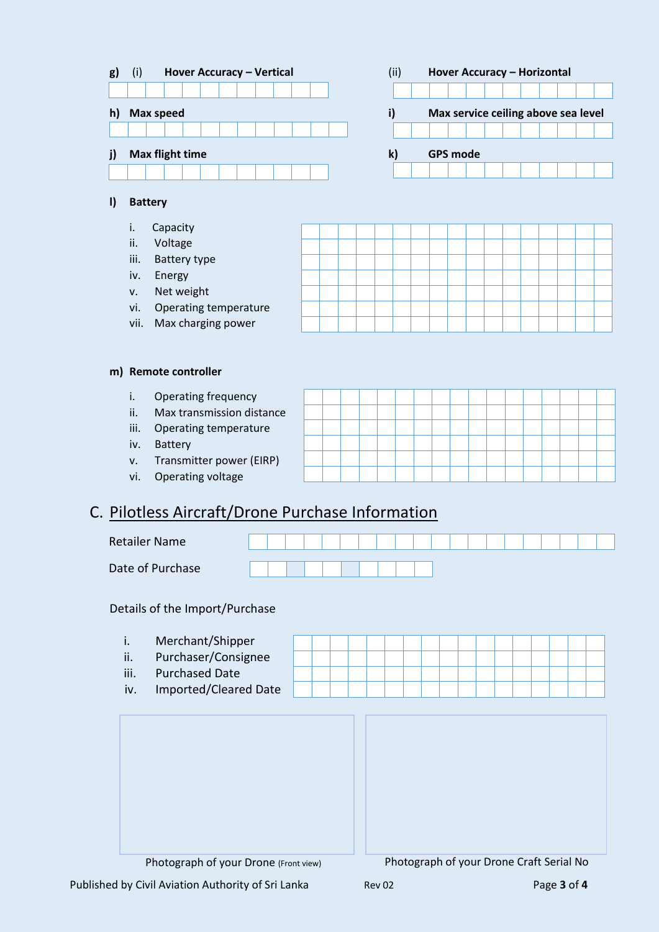

#### **l) Battery**

- i. Capacity
- ii. Voltage
- iii. Battery type
- iv. Energy
- v. Net weight
- vi. Operating temperature
- vii. Max charging power

### **m) Remote controller**

- i. Operating frequency
- ii. Max transmission distan
- iii. Operating temperature
- iv. Battery
- v. Transmitter power (EIRP)
- vi. Operating voltage

## C. Pilotless Aircraft/Drone Purchase Information



Details of the Import/Purchase

i. Merchant/Shipper ii. Purchaser/Consignee iii. Purchased Date iv. Imported/Cleared Date Photograph of your Drone (Front view) Photograph of your Drone Craft Serial No

Published by Civil Aviation Authority of Sri Lanka Rev 02 Page 3 of 4